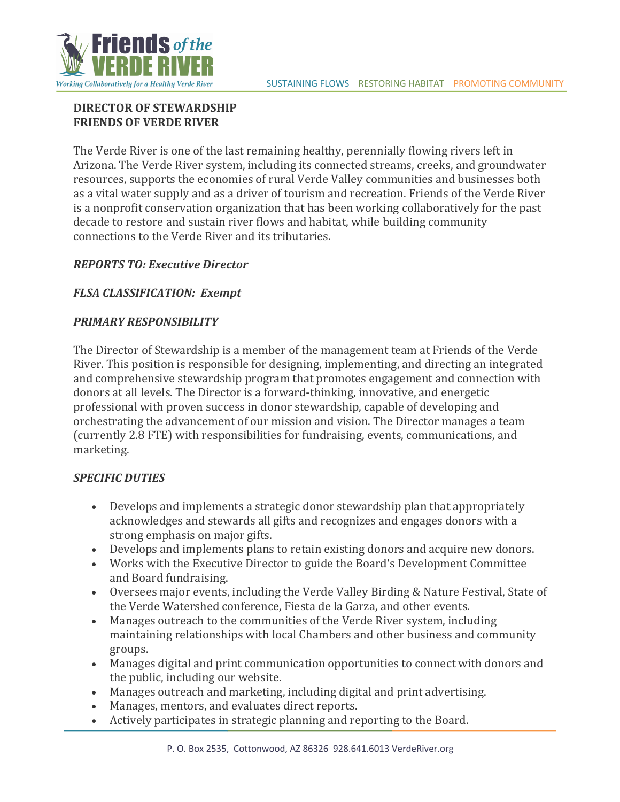

# **DIRECTOR OF STEWARDSHIP FRIENDS OF VERDE RIVER**

The Verde River is one of the last remaining healthy, perennially flowing rivers left in Arizona. The Verde River system, including its connected streams, creeks, and groundwater resources, supports the economies of rural Verde Valley communities and businesses both as a vital water supply and as a driver of tourism and recreation. Friends of the Verde River is a nonprofit conservation organization that has been working collaboratively for the past decade to restore and sustain river flows and habitat, while building community connections to the Verde River and its tributaries.

# *REPORTS TO: Executive Director*

### **FLSA CLASSIFICATION: Exempt**

### *PRIMARY RESPONSIBILITY*

The Director of Stewardship is a member of the management team at Friends of the Verde River. This position is responsible for designing, implementing, and directing an integrated and comprehensive stewardship program that promotes engagement and connection with donors at all levels. The Director is a forward-thinking, innovative, and energetic professional with proven success in donor stewardship, capable of developing and orchestrating the advancement of our mission and vision. The Director manages a team (currently 2.8 FTE) with responsibilities for fundraising, events, communications, and marketing.

#### **SPECIFIC DUTIES**

- Develops and implements a strategic donor stewardship plan that appropriately acknowledges and stewards all gifts and recognizes and engages donors with a strong emphasis on major gifts.
- Develops and implements plans to retain existing donors and acquire new donors.
- Works with the Executive Director to guide the Board's Development Committee and Board fundraising.
- Oversees major events, including the Verde Valley Birding & Nature Festival, State of the Verde Watershed conference, Fiesta de la Garza, and other events.
- Manages outreach to the communities of the Verde River system, including maintaining relationships with local Chambers and other business and community groups.
- Manages digital and print communication opportunities to connect with donors and the public, including our website.
- Manages outreach and marketing, including digital and print advertising.
- Manages, mentors, and evaluates direct reports.
- Actively participates in strategic planning and reporting to the Board.